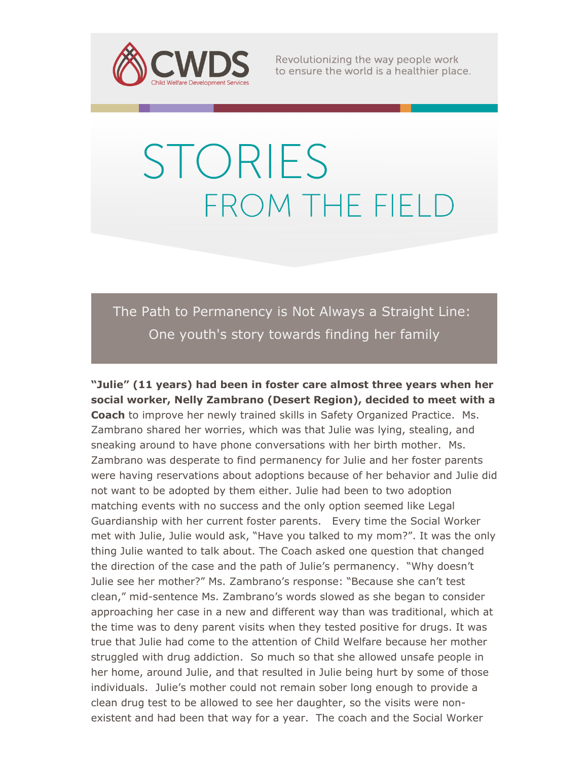

Revolutionizing the way people work to ensure the world is a healthier place.

## **STORIES** FROM THE FIELD

The Path to Permanency is Not Always a Straight Line: One youth's story towards finding her family

**"Julie" (11 years) had been in foster care almost three years when her social worker, Nelly Zambrano (Desert Region), decided to meet with a Coach** to improve her newly trained skills in Safety Organized Practice. Ms. Zambrano shared her worries, which was that Julie was lying, stealing, and sneaking around to have phone conversations with her birth mother. Ms. Zambrano was desperate to find permanency for Julie and her foster parents were having reservations about adoptions because of her behavior and Julie did not want to be adopted by them either. Julie had been to two adoption matching events with no success and the only option seemed like Legal Guardianship with her current foster parents. Every time the Social Worker met with Julie, Julie would ask, "Have you talked to my mom?". It was the only thing Julie wanted to talk about. The Coach asked one question that changed the direction of the case and the path of Julie's permanency. "Why doesn't Julie see her mother?" Ms. Zambrano's response: "Because she can't test clean," mid-sentence Ms. Zambrano's words slowed as she began to consider approaching her case in a new and different way than was traditional, which at the time was to deny parent visits when they tested positive for drugs. It was true that Julie had come to the attention of Child Welfare because her mother struggled with drug addiction. So much so that she allowed unsafe people in her home, around Julie, and that resulted in Julie being hurt by some of those individuals. Julie's mother could not remain sober long enough to provide a clean drug test to be allowed to see her daughter, so the visits were nonexistent and had been that way for a year. The coach and the Social Worker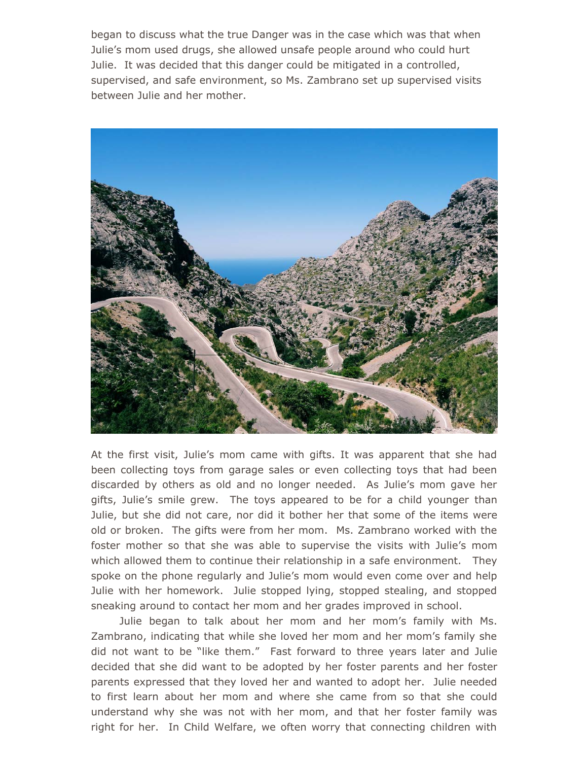began to discuss what the true Danger was in the case which was that when Julie's mom used drugs, she allowed unsafe people around who could hurt Julie. It was decided that this danger could be mitigated in a controlled, supervised, and safe environment, so Ms. Zambrano set up supervised visits between Julie and her mother.



At the first visit, Julie's mom came with gifts. It was apparent that she had been collecting toys from garage sales or even collecting toys that had been discarded by others as old and no longer needed. As Julie's mom gave her gifts, Julie's smile grew. The toys appeared to be for a child younger than Julie, but she did not care, nor did it bother her that some of the items were old or broken. The gifts were from her mom. Ms. Zambrano worked with the foster mother so that she was able to supervise the visits with Julie's mom which allowed them to continue their relationship in a safe environment. They spoke on the phone regularly and Julie's mom would even come over and help Julie with her homework. Julie stopped lying, stopped stealing, and stopped sneaking around to contact her mom and her grades improved in school.

 Julie began to talk about her mom and her mom's family with Ms. Zambrano, indicating that while she loved her mom and her mom's family she did not want to be "like them." Fast forward to three years later and Julie decided that she did want to be adopted by her foster parents and her foster parents expressed that they loved her and wanted to adopt her. Julie needed to first learn about her mom and where she came from so that she could understand why she was not with her mom, and that her foster family was right for her. In Child Welfare, we often worry that connecting children with